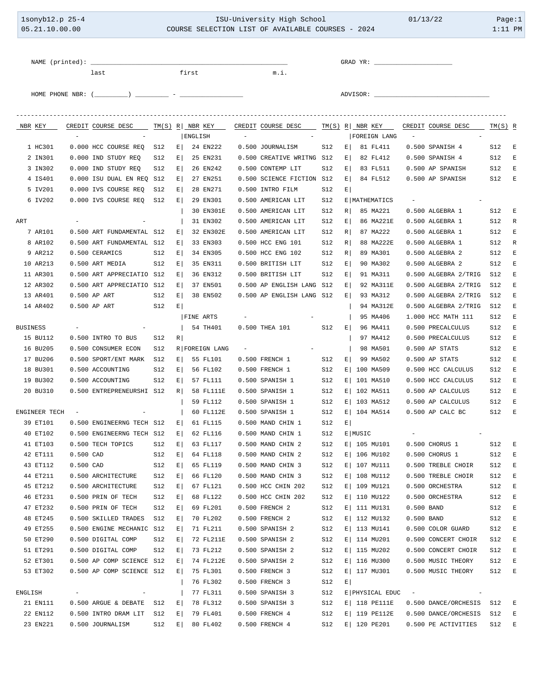| 1sonyb12.p 25-4<br>05.21.10.00.00 |                           |                          |                                                                                                  | ISU-University High School<br>COURSE SELECTION LIST OF AVAILABLE COURSES - 2024 |               |       |                       |  |                                                |            | 01/13/22 |                             |                          | Page:1<br>$1:11$ PM       |                |      |
|-----------------------------------|---------------------------|--------------------------|--------------------------------------------------------------------------------------------------|---------------------------------------------------------------------------------|---------------|-------|-----------------------|--|------------------------------------------------|------------|----------|-----------------------------|--------------------------|---------------------------|----------------|------|
|                                   | NAME (printed): _______   |                          |                                                                                                  |                                                                                 |               |       |                       |  |                                                |            |          |                             |                          |                           |                |      |
|                                   |                           |                          | last                                                                                             |                                                                                 |               | first |                       |  | m.i.                                           |            |          |                             |                          |                           |                |      |
|                                   |                           |                          | HOME PHONE NBR: $(\_\_\_\_\_\_$ ) ___________ - __                                               |                                                                                 |               |       |                       |  |                                                |            |          | ADVISOR: ________________   |                          |                           |                |      |
|                                   |                           | $\overline{\phantom{a}}$ | NBR KEY CREDIT COURSE DESC TM(S) R NBR KEY CREDIT COURSE DESC TM(S) R NBR KEY CREDIT COURSE DESC |                                                                                 |               |       | ENGLISH               |  |                                                |            |          | FOREIGN LANG                | $\overline{\phantom{a}}$ |                           | $TM(S)$ R      |      |
|                                   | 1 HC301                   |                          | 0.000 HCC COURSE REQ                                                                             | S12                                                                             | E             |       | 24 EN222              |  | 0.500 JOURNALISM                               | S12        |          | $E$ 81 FL411                |                          | 0.500 SPANISH 4           | S12            | E    |
|                                   | 2 IN301                   |                          | 0.000 IND STUDY REQ                                                                              | S12                                                                             | E             |       | 25 EN231              |  | 0.500 CREATIVE WRITNG S12                      |            | E        | 82 FL412                    |                          | 0.500 SPANISH 4           | S12            | E    |
|                                   | 3 IN302                   |                          | 0.000 IND STUDY REQ                                                                              | S12                                                                             | $E \mid$      |       | 26 EN242              |  | 0.500 CONTEMP LIT                              | S12        | $E \mid$ | 83 FL511                    |                          | 0.500 AP SPANISH          | S12            | E    |
|                                   | 4 IS401                   |                          | 0.000 ISU DUAL EN REQ S12                                                                        |                                                                                 | E             |       | 27 EN251              |  | 0.500 SCIENCE FICTION S12                      |            | $E \mid$ | 84 FL512                    |                          | 0.500 AP SPANISH          | S12            | $-E$ |
|                                   | 5 IV201                   |                          | 0.000 IVS COURSE REO                                                                             | S12                                                                             | E             |       | 28 EN271              |  | 0.500 INTRO FILM                               | S12        | $E \mid$ |                             |                          |                           |                |      |
|                                   | 6 IV202                   |                          | 0.000 IVS COURSE REQ                                                                             | S12                                                                             | E             |       | 29 EN301<br>30 EN301E |  | 0.500 AMERICAN LIT<br>0.500 AMERICAN LIT       | S12<br>S12 | R        | E   MATHEMATICS<br>85 MA221 |                          | 0.500 ALGEBRA 1           | S12            | $-E$ |
| ART                               |                           |                          |                                                                                                  |                                                                                 |               |       | 31 EN302              |  | 0.500 AMERICAN LIT                             | S12        | E        | 86 MA221E                   |                          | 0.500 ALGEBRA 1           | S12            | R    |
|                                   | 7 AR101                   |                          | 0.500 ART FUNDAMENTAL S12                                                                        |                                                                                 | E             |       | 32 EN302E             |  | 0.500 AMERICAN LIT                             | S12        | R        | 87 MA222                    |                          | 0.500 ALGEBRA 1           | S12            | E    |
|                                   | 8 AR102                   |                          | 0.500 ART FUNDAMENTAL S12                                                                        |                                                                                 | E             |       | 33 EN303              |  | 0.500 HCC ENG 101                              | S12        | R        | 88 MA222E                   |                          | 0.500 ALGEBRA 1           | S12            | R    |
|                                   | 9 AR212                   |                          | 0.500 CERAMICS                                                                                   | S12                                                                             | $E \mid$      |       | 34 EN305              |  | 0.500 HCC ENG 102                              | S12        | $R \mid$ | 89 MA301                    |                          | 0.500 ALGEBRA 2           | S12            | E    |
|                                   | 10 AR213                  |                          | 0.500 ART MEDIA                                                                                  | S12                                                                             | E             |       | 35 EN311              |  | 0.500 BRITISH LIT                              | S12        | $E \mid$ | 90 MA302                    |                          | 0.500 ALGEBRA 2           | S12            | E    |
|                                   | 11 AR301                  |                          | 0.500 ART APPRECIATIO S12                                                                        |                                                                                 | E             |       | 36 EN312              |  | 0.500 BRITISH LIT                              | S12        | $E \mid$ | 91 MA311                    |                          | 0.500 ALGEBRA 2/TRIG      | S12            | E    |
|                                   | 12 AR302                  |                          | 0.500 ART APPRECIATIO S12                                                                        |                                                                                 | E             |       | 37 EN501              |  | 0.500 AP ENGLISH LANG S12                      |            | E        | 92 MA311E                   |                          | 0.500 ALGEBRA 2/TRIG      | S12            | E    |
|                                   | 13 AR401                  |                          | 0.500 AP ART                                                                                     | S12                                                                             | E             |       | 38 EN502              |  | 0.500 AP ENGLISH LANG S12                      |            | $E \mid$ | 93 MA312                    |                          | 0.500 ALGEBRA 2/TRIG      | S12            | E    |
|                                   | 14 AR402                  |                          | 0.500 AP ART                                                                                     | S12                                                                             | E             |       |                       |  |                                                |            |          | 94 MA312E                   |                          | 0.500 ALGEBRA 2/TRIG      | S12            | E    |
|                                   |                           |                          |                                                                                                  |                                                                                 |               |       | <b>FINE ARTS</b>      |  |                                                |            |          | 95 MA406                    |                          | 1.000 HCC MATH 111        | S12            | E    |
| <b>BUSINESS</b>                   |                           |                          |                                                                                                  |                                                                                 |               |       | 54 TH401              |  | 0.500 THEA 101                                 | S12        | $E \mid$ | 96 MA411                    |                          | 0.500 PRECALCULUS         | S12            | E    |
|                                   | 15 BU112                  |                          | 0.500 INTRO TO BUS                                                                               | S12                                                                             | R             |       |                       |  |                                                |            |          | 97 MA412                    |                          | 0.500 PRECALCULUS         | S12            | E    |
|                                   | 16 BU205                  |                          | 0.500 CONSUMER ECON                                                                              | S12                                                                             |               |       | R FOREIGN LANG        |  |                                                |            |          | 98 MA501                    |                          | 0.500 AP STATS            | S12            | E    |
|                                   | 17 BU206                  |                          | 0.500 SPORT/ENT MARK                                                                             | S12                                                                             | E             |       | 55 FL101              |  | 0.500 FRENCH 1                                 | S12        | $E \mid$ | 99 MA502                    |                          | 0.500 AP STATS            | S12            | E    |
|                                   | 18 BU301                  |                          | 0.500 ACCOUNTING                                                                                 | S12                                                                             | $E \mid$      |       | 56 FL102              |  | 0.500 FRENCH 1                                 | S12        |          | E 100 MA509                 |                          | 0.500 HCC CALCULUS        | S12            | E    |
|                                   | 19 BU302                  |                          | 0.500 ACCOUNTING                                                                                 | S12                                                                             | E             |       | 57 FL111              |  | 0.500 SPANISH 1                                | S12        |          | E 101 MA510                 |                          | 0.500 HCC CALCULUS        | S12            | E    |
|                                   | 20 BU310                  |                          | 0.500 ENTREPRENEURSHI S12                                                                        |                                                                                 | R             |       | 58 FL111E             |  | 0.500 SPANISH 1                                | S12        |          | E 102 MA511                 |                          | 0.500 AP CALCULUS         | S12            | E    |
|                                   |                           |                          |                                                                                                  |                                                                                 |               |       | 59 FL112              |  | 0.500 SPANISH 1                                | S12        |          | E   103 MA512               |                          | 0.500 AP CALCULUS         | S12<br>$S12$ E | $-E$ |
|                                   | ENGINEER TECH<br>39 ET101 |                          | 0.500 ENGINEERNG TECH S12                                                                        |                                                                                 |               |       | 61 FL115              |  | 60 FL112E 0.500 SPANISH 1<br>0.500 MAND CHIN 1 |            | E        | S12 E 104 MA514             |                          | $0.500$ AP CALC BC        |                |      |
|                                   | 40 ET102                  |                          | 0.500 ENGINEERNG TECH S12                                                                        |                                                                                 | $E \mid$<br>E |       | 62 FL116              |  | 0.500 MAND CHIN 1                              | S12<br>S12 |          | E MUSIC                     |                          |                           |                |      |
|                                   | 41 ET103                  |                          | 0.500 TECH TOPICS                                                                                | S12                                                                             | E             |       | 63 FL117              |  | 0.500 MAND CHIN 2                              | S12        |          | E   105 MU101               |                          | 0.500 CHORUS 1            | S12            | E    |
|                                   | 42 ET111                  | $0.500$ CAD              |                                                                                                  | S12                                                                             | E             |       | 64 FL118              |  | 0.500 MAND CHIN 2                              | S12        |          | E   106 MU102               |                          | 0.500 CHORUS 1            | S12            | E    |
|                                   | 43 ET112                  | $0.500$ CAD              |                                                                                                  | S12                                                                             | E             |       | 65 FL119              |  | 0.500 MAND CHIN 3                              | S12        |          | E   107 MU111               |                          | 0.500 TREBLE CHOIR        | S12            | E    |
|                                   | 44 ET211                  |                          | 0.500 ARCHITECTURE                                                                               | S12                                                                             | E             |       | 66 FL120              |  | 0.500 MAND CHIN 3                              | S12        |          | E 108 MU112                 |                          | 0.500 TREBLE CHOIR        | S12            | E    |
|                                   | 45 ET212                  |                          | 0.500 ARCHITECTURE                                                                               | S12                                                                             | E             |       | 67 FL121              |  | 0.500 HCC CHIN 202                             | S12        |          | E   109 MU121               |                          | 0.500 ORCHESTRA           | S12            | E    |
|                                   | 46 ET231                  |                          | 0.500 PRIN OF TECH                                                                               | S12                                                                             | E             |       | 68 FL122              |  | 0.500 HCC CHIN 202                             | S12        |          | E   110 MU122               |                          | 0.500 ORCHESTRA           | S12            | E    |
|                                   | 47 ET232                  |                          | 0.500 PRIN OF TECH                                                                               | S12                                                                             | E             |       | 69 FL201              |  | 0.500 FRENCH 2                                 | S12        |          | E   111 MU131               | 0.500 BAND               |                           | S12            | E    |
|                                   | 48 ET245                  |                          | 0.500 SKILLED TRADES                                                                             | S12                                                                             | E             |       | 70 FL202              |  | 0.500 FRENCH 2                                 | S12        |          | E 112 MU132                 | 0.500 BAND               |                           | S12            | E    |
|                                   | 49 ET255                  |                          | 0.500 ENGINE MECHANIC S12                                                                        |                                                                                 | E             |       | 71 FL211              |  | 0.500 SPANISH 2                                | S12        |          | E   113 MU141               |                          | 0.500 COLOR GUARD         | S12            | E    |
|                                   | 50 ET290                  |                          | 0.500 DIGITAL COMP                                                                               | S12                                                                             | E             |       | 72 FL211E             |  | 0.500 SPANISH 2                                | S12        |          | E   114 MU201               |                          | 0.500 CONCERT CHOIR       | S12            | E    |
|                                   | 51 ET291                  |                          | 0.500 DIGITAL COMP                                                                               | S12                                                                             | E             |       | 73 FL212              |  | 0.500 SPANISH 2                                | S12        |          | E 115 MU202                 |                          | 0.500 CONCERT CHOIR       | S12            | E    |
|                                   | 52 ET301                  |                          | 0.500 AP COMP SCIENCE S12                                                                        |                                                                                 | E             |       | 74 FL212E             |  | 0.500 SPANISH 2                                | S12        |          | E   116 MU300               |                          | 0.500 MUSIC THEORY        | S12            | E    |
|                                   | 53 ET302                  |                          | 0.500 AP COMP SCIENCE S12                                                                        |                                                                                 | E             |       | 75 FL301              |  | 0.500 FRENCH 3                                 | S12        |          | E   117 MU301               |                          | 0.500 MUSIC THEORY        | S12 E          |      |
|                                   |                           |                          |                                                                                                  |                                                                                 |               |       | 76 FL302              |  | 0.500 FRENCH 3                                 | S12        | E        |                             |                          |                           |                |      |
| ENGLISH                           |                           | $\sim$                   |                                                                                                  |                                                                                 |               |       | 77 FL311              |  | 0.500 SPANISH 3                                | S12        |          | E PHYSICAL EDUC             | $\sim 100$               |                           |                |      |
|                                   | 21 EN111                  |                          | 0.500 ARGUE & DEBATE                                                                             | S12                                                                             | E             |       | 78 FL312              |  | 0.500 SPANISH 3                                | S12        |          | $E$ 118 PE111E              |                          | 0.500 DANCE/ORCHESIS S12  |                | E    |
|                                   | 22 EN112                  |                          | 0.500 INTRO DRAM LIT                                                                             | S12                                                                             | E             |       | 79 FL401              |  | 0.500 FRENCH 4                                 | S12        |          | E   119 PE112E              |                          | 0.500 DANCE/ORCHESIS S12  |                | E    |
|                                   | 23 EN221                  |                          | 0.500 JOURNALISM                                                                                 | S12                                                                             | $E \mid$      |       | 80 FL402              |  | $0.500$ FRENCH $4$                             | S12        |          | E   120 PE201               |                          | 0.500 PE ACTIVITIES S12 E |                |      |